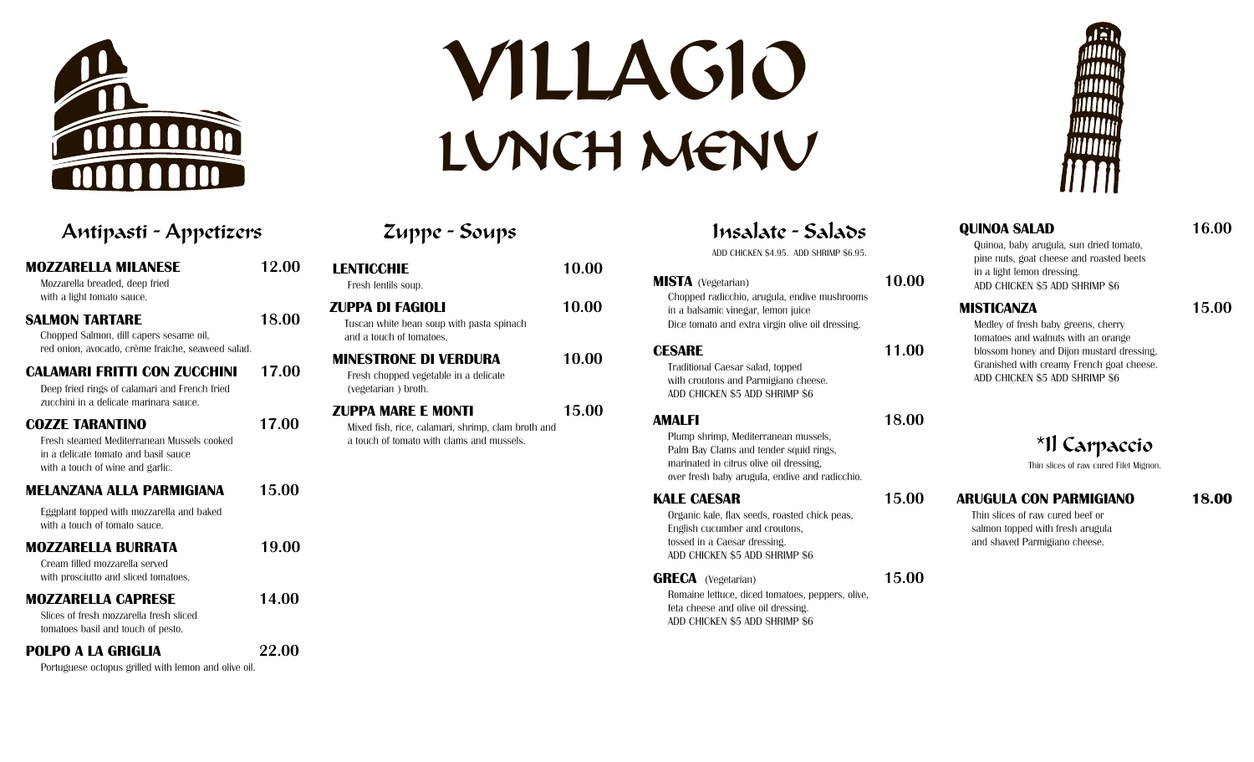

# VILLAGIO LUNCH MENU

Zuppe - Soups Insalate - Salads

| VENN                                                                               |       | WUUTIIII                                                                                                   |       |
|------------------------------------------------------------------------------------|-------|------------------------------------------------------------------------------------------------------------|-------|
| Insalate - Salads<br>ADD CHICKEN \$4.95. ADD SHRIMP \$6.95.                        |       | <b>QUINOA SALAD</b><br>Quinoa, baby arugula, sun dried tomato,<br>pine nuts, goat cheese and roasted beets | 16.00 |
| <b>ISTA</b> (Vegetarian)                                                           | 10.00 | in a light lemon dressing.<br>ADD CHICKEN \$5 ADD SHRIMP \$6                                               |       |
| Chopped radicchio, arugula, endive mushrooms<br>in a balsamic vinegar, lemon juice |       | <b>MISTICANZA</b>                                                                                          | 15.00 |
| Dice tomato and extra virgin olive oil dressing.                                   |       | Medley of fresh baby greens, cherry<br>tomatoes and walnuts with an orange                                 |       |
| <b>ESARE</b>                                                                       | 11.00 | blossom honey and Dijon mustard dressing,                                                                  |       |
| Traditional Caesar salad, topped                                                   |       | Granished with creamy French goat cheese.                                                                  |       |
| with croutons and Parmidiano cheese                                                |       | ADD CHICKEN \$5 ADD SHRIMP \$6                                                                             |       |

**Traditional Caesar sala** with croutons and Parmigiano cheese. ADD CHICKEN \$5 ADD SHRIMP \$6

## **AMALFI 18.00**

**CESARE 11.00**

Plump shrimp, Mediterranean mussels, Palm Bay Clams and tender squid rings, marinated in citrus olive oil dressing, over fresh baby arugula, endive and radicchio.

# **KALE CAESAR 15.00**

**MISTA** (Vegetarian)

Organic kale, flax seeds, roasted chick peas, English cucumber and croutons, tossed in a Caesar dressing. ADD CHICKEN \$5 ADD SHRIMP \$6

# **GRECA** (Vegetarian) **15.00**

Romaine lettuce, diced tomatoes, peppers, olive, feta cheese and olive oil dressing. ADD CHICKEN \$5 ADD SHRIMP \$6

# \*Il Carpaccio

Thin slices of raw cured Filet Mignon.

# **ARUGULA CON PARMIGIANO 18.00**

Thin slices of raw cured beef or salmon topped with fresh arugula and shaved Parmigiano cheese.

| Antipasti - Appetizers                                                                                                                                                                     |              | Zuppe - Soups                                                                                                                |       |
|--------------------------------------------------------------------------------------------------------------------------------------------------------------------------------------------|--------------|------------------------------------------------------------------------------------------------------------------------------|-------|
| <b>MOZZARELLA MILANESE</b><br>Mozzarella breaded, deep fried                                                                                                                               | 12.00        | <b>LENTICCHIE</b><br>Fresh lentils soup.                                                                                     | 10.00 |
| with a light tomato sauce.<br><b>SALMON TARTARE</b><br>Chopped Salmon, dill capers sesame oil,                                                                                             | 18.00        | <b>ZUPPA DI FAGIOLI</b><br>Tuscan white bean soup with pasta spinach<br>and a touch of tomatoes.                             | 10.00 |
| red onion, avocado, crème fraiche, seaweed salad.<br><b>CALAMARI FRITTI CON ZUCCHINI</b><br>Deep fried rings of calamari and French fried                                                  | 17.00        | <b>MINESTRONE DI VERDURA</b><br>Fresh chopped vegetable in a delicate<br>(vegetarian) broth.                                 | 10.00 |
| zucchini in a delicate marinara sauce.<br><b>COZZE TARANTINO</b><br>Fresh steamed Mediterranean Mussels cooked<br>in a delicate tomato and basil sauce<br>with a touch of wine and garlic. | 17.00        | <b>ZUPPA MARE E MONTI</b><br>Mixed fish, rice, calamari, shrimp, clam broth and<br>a touch of tomato with clams and mussels. | 15.00 |
| <b>MELANZANA ALLA PARMIGIANA</b>                                                                                                                                                           | 15.00        |                                                                                                                              |       |
| Eggplant topped with mozzarella and baked<br>with a touch of tomato sauce.                                                                                                                 |              |                                                                                                                              |       |
| <b>MOZZARELLA BURRATA</b><br>Cream filled mozzarella served<br>with prosciutto and sliced tomatoes.                                                                                        | 19.00        |                                                                                                                              |       |
| <b>MOZZARELLA CAPRESE</b><br>Slices of fresh mozzarella fresh sliced<br>tomatoes basil and touch of pesto.                                                                                 | 14.00        |                                                                                                                              |       |
| POLPO A LA GRIGLIA                                                                                                                                                                         | <b>22.00</b> |                                                                                                                              |       |

Portuguese octopus grilled with lemon and olive oil.